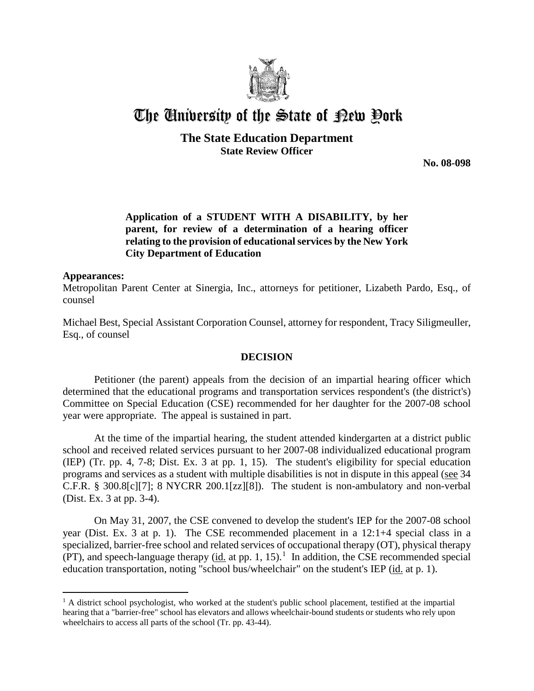

# The University of the State of Bew Pork

## **The State Education Department State Review Officer**

**No. 08-098** 

## **Application of a STUDENT WITH A DISABILITY, by her parent, for review of a determination of a hearing officer relating to the provision of educational services by the New York City Department of Education**

#### **Appearances:**

 $\overline{a}$ 

Metropolitan Parent Center at Sinergia, Inc., attorneys for petitioner, Lizabeth Pardo, Esq., of counsel

Michael Best, Special Assistant Corporation Counsel, attorney for respondent, Tracy Siligmeuller, Esq., of counsel

#### **DECISION**

Petitioner (the parent) appeals from the decision of an impartial hearing officer which determined that the educational programs and transportation services respondent's (the district's) Committee on Special Education (CSE) recommended for her daughter for the 2007-08 school year were appropriate. The appeal is sustained in part.

At the time of the impartial hearing, the student attended kindergarten at a district public school and received related services pursuant to her 2007-08 individualized educational program (IEP) (Tr. pp. 4, 7-8; Dist. Ex. 3 at pp. 1, 15). The student's eligibility for special education programs and services as a student with multiple disabilities is not in dispute in this appeal (see 34 C.F.R. § 300.8[c][7]; 8 NYCRR 200.1[zz][8]). The student is non-ambulatory and non-verbal (Dist. Ex. 3 at pp. 3-4).

On May 31, 2007, the CSE convened to develop the student's IEP for the 2007-08 school year (Dist. Ex. 3 at p. 1). The CSE recommended placement in a 12:1+4 special class in a specialized, barrier-free school and related services of occupational therapy (OT), physical therapy (PT), and speech-language therapy  $(id$  at pp. 1, 15).<sup>1</sup> In addition, the CSE recommended special education transportation, noting "school bus/wheelchair" on the student's IEP (id. at p. 1).

 $<sup>1</sup>$  A district school psychologist, who worked at the student's public school placement, testified at the impartial</sup> hearing that a "barrier-free" school has elevators and allows wheelchair-bound students or students who rely upon wheelchairs to access all parts of the school (Tr. pp. 43-44).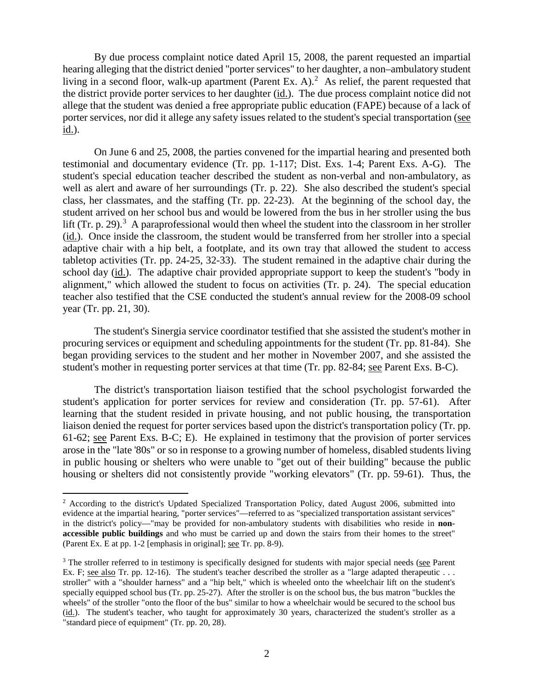By due process complaint notice dated April 15, 2008, the parent requested an impartial hearing alleging that the district denied "porter services" to her daughter, a non–ambulatory student living in a second floor, walk-up apartment (Parent Ex. A).<sup>2</sup> As relief, the parent requested that the district provide porter services to her daughter (id.). The due process complaint notice did not allege that the student was denied a free appropriate public education (FAPE) because of a lack of porter services, nor did it allege any safety issues related to the student's special transportation (see id.).

On June 6 and 25, 2008, the parties convened for the impartial hearing and presented both testimonial and documentary evidence (Tr. pp. 1-117; Dist. Exs. 1-4; Parent Exs. A-G). The student's special education teacher described the student as non-verbal and non-ambulatory, as well as alert and aware of her surroundings (Tr. p. 22). She also described the student's special class, her classmates, and the staffing (Tr. pp. 22-23). At the beginning of the school day, the student arrived on her school bus and would be lowered from the bus in her stroller using the bus lift (Tr. p. 29).<sup>3</sup> A paraprofessional would then wheel the student into the classroom in her stroller (id.). Once inside the classroom, the student would be transferred from her stroller into a special adaptive chair with a hip belt, a footplate, and its own tray that allowed the student to access tabletop activities (Tr. pp. 24-25, 32-33). The student remained in the adaptive chair during the school day (id.). The adaptive chair provided appropriate support to keep the student's "body in alignment," which allowed the student to focus on activities (Tr. p. 24). The special education teacher also testified that the CSE conducted the student's annual review for the 2008-09 school year (Tr. pp. 21, 30).

The student's Sinergia service coordinator testified that she assisted the student's mother in procuring services or equipment and scheduling appointments for the student (Tr. pp. 81-84). She began providing services to the student and her mother in November 2007, and she assisted the student's mother in requesting porter services at that time (Tr. pp. 82-84; see Parent Exs. B-C).

The district's transportation liaison testified that the school psychologist forwarded the student's application for porter services for review and consideration (Tr. pp. 57-61). After learning that the student resided in private housing, and not public housing, the transportation liaison denied the request for porter services based upon the district's transportation policy (Tr. pp. 61-62; see Parent Exs. B-C; E). He explained in testimony that the provision of porter services arose in the "late '80s" or so in response to a growing number of homeless, disabled students living in public housing or shelters who were unable to "get out of their building" because the public housing or shelters did not consistently provide "working elevators" (Tr. pp. 59-61). Thus, the

<sup>&</sup>lt;sup>2</sup> According to the district's Updated Specialized Transportation Policy, dated August 2006, submitted into evidence at the impartial hearing, "porter services"—referred to as "specialized transportation assistant services" in the district's policy—"may be provided for non-ambulatory students with disabilities who reside in **nonaccessible public buildings** and who must be carried up and down the stairs from their homes to the street" (Parent Ex. E at pp. 1-2 [emphasis in original]; see Tr. pp. 8-9).

<sup>&</sup>lt;sup>3</sup> The stroller referred to in testimony is specifically designed for students with major special needs (see Parent Ex. F; see also Tr. pp. 12-16). The student's teacher described the stroller as a "large adapted therapeutic  $\dots$ stroller" with a "shoulder harness" and a "hip belt," which is wheeled onto the wheelchair lift on the student's specially equipped school bus (Tr. pp. 25-27). After the stroller is on the school bus, the bus matron "buckles the wheels" of the stroller "onto the floor of the bus" similar to how a wheelchair would be secured to the school bus (id.). The student's teacher, who taught for approximately 30 years, characterized the student's stroller as a "standard piece of equipment" (Tr. pp. 20, 28).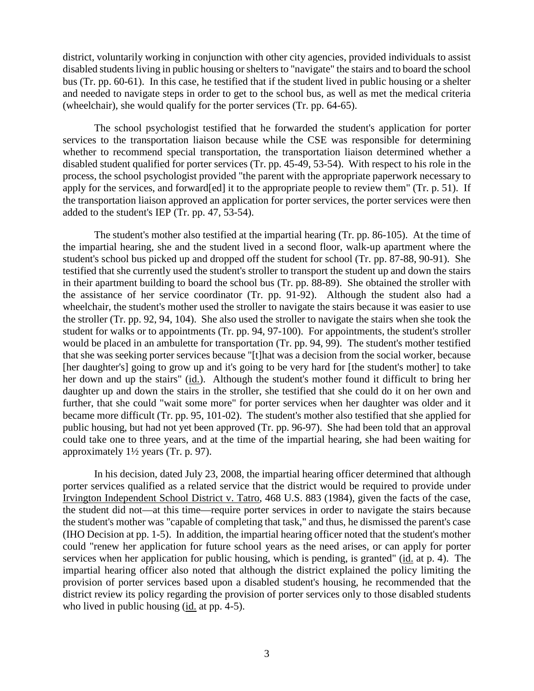district, voluntarily working in conjunction with other city agencies, provided individuals to assist disabled students living in public housing or shelters to "navigate" the stairs and to board the school bus (Tr. pp. 60-61). In this case, he testified that if the student lived in public housing or a shelter and needed to navigate steps in order to get to the school bus, as well as met the medical criteria (wheelchair), she would qualify for the porter services (Tr. pp. 64-65).

The school psychologist testified that he forwarded the student's application for porter services to the transportation liaison because while the CSE was responsible for determining whether to recommend special transportation, the transportation liaison determined whether a disabled student qualified for porter services (Tr. pp. 45-49, 53-54). With respect to his role in the process, the school psychologist provided "the parent with the appropriate paperwork necessary to apply for the services, and forward[ed] it to the appropriate people to review them" (Tr. p. 51). If the transportation liaison approved an application for porter services, the porter services were then added to the student's IEP (Tr. pp. 47, 53-54).

The student's mother also testified at the impartial hearing (Tr. pp. 86-105). At the time of the impartial hearing, she and the student lived in a second floor, walk-up apartment where the student's school bus picked up and dropped off the student for school (Tr. pp. 87-88, 90-91). She testified that she currently used the student's stroller to transport the student up and down the stairs in their apartment building to board the school bus (Tr. pp. 88-89). She obtained the stroller with the assistance of her service coordinator (Tr. pp. 91-92). Although the student also had a wheelchair, the student's mother used the stroller to navigate the stairs because it was easier to use the stroller (Tr. pp. 92, 94, 104). She also used the stroller to navigate the stairs when she took the student for walks or to appointments (Tr. pp. 94, 97-100). For appointments, the student's stroller would be placed in an ambulette for transportation (Tr. pp. 94, 99). The student's mother testified that she was seeking porter services because "[t]hat was a decision from the social worker, because [her daughter's] going to grow up and it's going to be very hard for [the student's mother] to take her down and up the stairs" (id.). Although the student's mother found it difficult to bring her daughter up and down the stairs in the stroller, she testified that she could do it on her own and further, that she could "wait some more" for porter services when her daughter was older and it became more difficult (Tr. pp. 95, 101-02). The student's mother also testified that she applied for public housing, but had not yet been approved (Tr. pp. 96-97). She had been told that an approval could take one to three years, and at the time of the impartial hearing, she had been waiting for approximately 1½ years (Tr. p. 97).

In his decision, dated July 23, 2008, the impartial hearing officer determined that although porter services qualified as a related service that the district would be required to provide under Irvington Independent School District v. Tatro, 468 U.S. 883 (1984), given the facts of the case, the student did not—at this time—require porter services in order to navigate the stairs because the student's mother was "capable of completing that task," and thus, he dismissed the parent's case (IHO Decision at pp. 1-5). In addition, the impartial hearing officer noted that the student's mother could "renew her application for future school years as the need arises, or can apply for porter services when her application for public housing, which is pending, is granted" (id. at p. 4). The impartial hearing officer also noted that although the district explained the policy limiting the provision of porter services based upon a disabled student's housing, he recommended that the district review its policy regarding the provision of porter services only to those disabled students who lived in public housing (id. at pp. 4-5).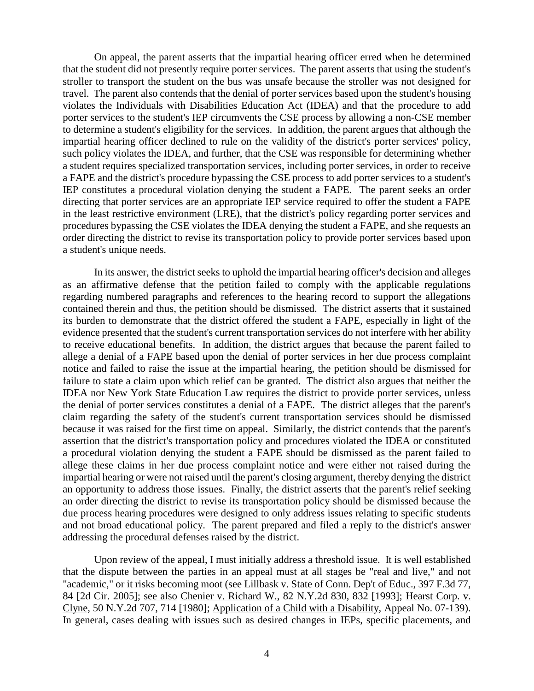On appeal, the parent asserts that the impartial hearing officer erred when he determined that the student did not presently require porter services. The parent asserts that using the student's stroller to transport the student on the bus was unsafe because the stroller was not designed for travel. The parent also contends that the denial of porter services based upon the student's housing violates the Individuals with Disabilities Education Act (IDEA) and that the procedure to add porter services to the student's IEP circumvents the CSE process by allowing a non-CSE member to determine a student's eligibility for the services. In addition, the parent argues that although the impartial hearing officer declined to rule on the validity of the district's porter services' policy, such policy violates the IDEA, and further, that the CSE was responsible for determining whether a student requires specialized transportation services, including porter services, in order to receive a FAPE and the district's procedure bypassing the CSE process to add porter services to a student's IEP constitutes a procedural violation denying the student a FAPE. The parent seeks an order directing that porter services are an appropriate IEP service required to offer the student a FAPE in the least restrictive environment (LRE), that the district's policy regarding porter services and procedures bypassing the CSE violates the IDEA denying the student a FAPE, and she requests an order directing the district to revise its transportation policy to provide porter services based upon a student's unique needs.

In its answer, the district seeks to uphold the impartial hearing officer's decision and alleges as an affirmative defense that the petition failed to comply with the applicable regulations regarding numbered paragraphs and references to the hearing record to support the allegations contained therein and thus, the petition should be dismissed. The district asserts that it sustained its burden to demonstrate that the district offered the student a FAPE, especially in light of the evidence presented that the student's current transportation services do not interfere with her ability to receive educational benefits. In addition, the district argues that because the parent failed to allege a denial of a FAPE based upon the denial of porter services in her due process complaint notice and failed to raise the issue at the impartial hearing, the petition should be dismissed for failure to state a claim upon which relief can be granted. The district also argues that neither the IDEA nor New York State Education Law requires the district to provide porter services, unless the denial of porter services constitutes a denial of a FAPE. The district alleges that the parent's claim regarding the safety of the student's current transportation services should be dismissed because it was raised for the first time on appeal. Similarly, the district contends that the parent's assertion that the district's transportation policy and procedures violated the IDEA or constituted a procedural violation denying the student a FAPE should be dismissed as the parent failed to allege these claims in her due process complaint notice and were either not raised during the impartial hearing or were not raised until the parent's closing argument, thereby denying the district an opportunity to address those issues. Finally, the district asserts that the parent's relief seeking an order directing the district to revise its transportation policy should be dismissed because the due process hearing procedures were designed to only address issues relating to specific students and not broad educational policy. The parent prepared and filed a reply to the district's answer addressing the procedural defenses raised by the district.

Upon review of the appeal, I must initially address a threshold issue. It is well established that the dispute between the parties in an appeal must at all stages be "real and live," and not "academic," or it risks becoming moot (see Lillbask v. State of Conn. Dep't of Educ., 397 F.3d 77, 84 [2d Cir. 2005]; see also Chenier v. Richard W., 82 N.Y.2d 830, 832 [1993]; Hearst Corp. v. Clyne, 50 N.Y.2d 707, 714 [1980]; Application of a Child with a Disability, Appeal No. 07-139). In general, cases dealing with issues such as desired changes in IEPs, specific placements, and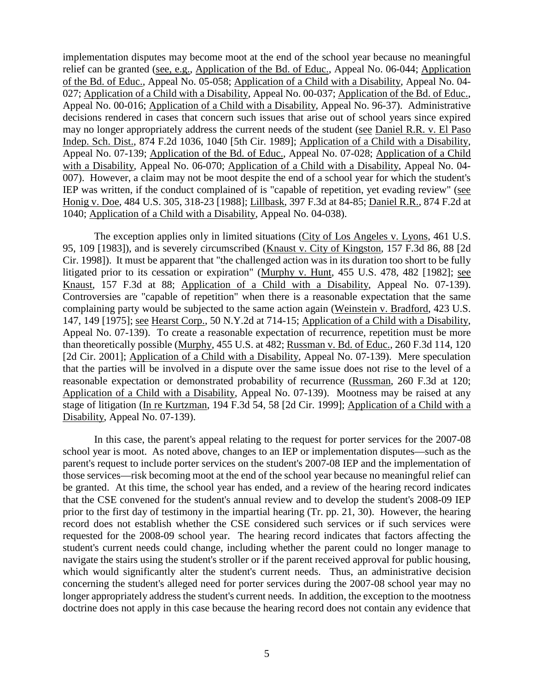implementation disputes may become moot at the end of the school year because no meaningful relief can be granted (see, e.g., Application of the Bd. of Educ., Appeal No. 06-044; Application of the Bd. of Educ., Appeal No. 05-058; Application of a Child with a Disability, Appeal No. 04- 027; Application of a Child with a Disability, Appeal No. 00-037; Application of the Bd. of Educ., Appeal No. 00-016; Application of a Child with a Disability, Appeal No. 96-37). Administrative decisions rendered in cases that concern such issues that arise out of school years since expired may no longer appropriately address the current needs of the student (see Daniel R.R. v. El Paso Indep. Sch. Dist., 874 F.2d 1036, 1040 [5th Cir. 1989]; Application of a Child with a Disability, Appeal No. 07-139; Application of the Bd. of Educ., Appeal No. 07-028; Application of a Child with a Disability, Appeal No. 06-070; Application of a Child with a Disability, Appeal No. 04- 007). However, a claim may not be moot despite the end of a school year for which the student's IEP was written, if the conduct complained of is "capable of repetition, yet evading review" (see Honig v. Doe, 484 U.S. 305, 318-23 [1988]; Lillbask, 397 F.3d at 84-85; Daniel R.R., 874 F.2d at 1040; Application of a Child with a Disability, Appeal No. 04-038).

The exception applies only in limited situations (City of Los Angeles v. Lyons, 461 U.S. 95, 109 [1983]), and is severely circumscribed (Knaust v. City of Kingston, 157 F.3d 86, 88 [2d Cir. 1998]). It must be apparent that "the challenged action was in its duration too short to be fully litigated prior to its cessation or expiration" (Murphy v. Hunt, 455 U.S. 478, 482 [1982]; see Knaust, 157 F.3d at 88; Application of a Child with a Disability, Appeal No. 07-139). Controversies are "capable of repetition" when there is a reasonable expectation that the same complaining party would be subjected to the same action again (Weinstein v. Bradford, 423 U.S. 147, 149 [1975]; see Hearst Corp., 50 N.Y.2d at 714-15; Application of a Child with a Disability, Appeal No. 07-139). To create a reasonable expectation of recurrence, repetition must be more than theoretically possible (Murphy, 455 U.S. at 482; Russman v. Bd. of Educ., 260 F.3d 114, 120 [2d Cir. 2001]; Application of a Child with a Disability, Appeal No. 07-139). Mere speculation that the parties will be involved in a dispute over the same issue does not rise to the level of a reasonable expectation or demonstrated probability of recurrence (Russman, 260 F.3d at 120; Application of a Child with a Disability, Appeal No. 07-139). Mootness may be raised at any stage of litigation (In re Kurtzman, 194 F.3d 54, 58 [2d Cir. 1999]; Application of a Child with a Disability, Appeal No. 07-139).

In this case, the parent's appeal relating to the request for porter services for the 2007-08 school year is moot. As noted above, changes to an IEP or implementation disputes—such as the parent's request to include porter services on the student's 2007-08 IEP and the implementation of those services—risk becoming moot at the end of the school year because no meaningful relief can be granted. At this time, the school year has ended, and a review of the hearing record indicates that the CSE convened for the student's annual review and to develop the student's 2008-09 IEP prior to the first day of testimony in the impartial hearing (Tr. pp. 21, 30). However, the hearing record does not establish whether the CSE considered such services or if such services were requested for the 2008-09 school year. The hearing record indicates that factors affecting the student's current needs could change, including whether the parent could no longer manage to navigate the stairs using the student's stroller or if the parent received approval for public housing, which would significantly alter the student's current needs. Thus, an administrative decision concerning the student's alleged need for porter services during the 2007-08 school year may no longer appropriately address the student's current needs. In addition, the exception to the mootness doctrine does not apply in this case because the hearing record does not contain any evidence that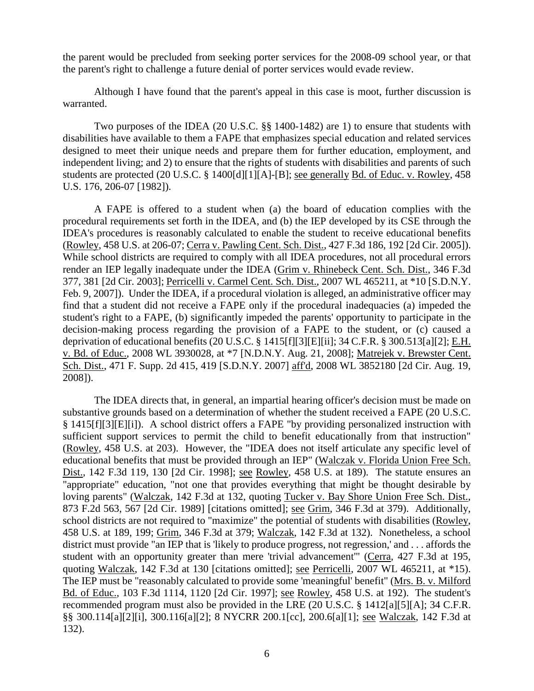the parent would be precluded from seeking porter services for the 2008-09 school year, or that the parent's right to challenge a future denial of porter services would evade review.

Although I have found that the parent's appeal in this case is moot, further discussion is warranted.

Two purposes of the IDEA (20 U.S.C. §§ 1400-1482) are 1) to ensure that students with disabilities have available to them a FAPE that emphasizes special education and related services designed to meet their unique needs and prepare them for further education, employment, and independent living; and 2) to ensure that the rights of students with disabilities and parents of such students are protected (20 U.S.C. § 1400[d][1][A]-[B]; see generally Bd. of Educ. v. Rowley, 458 U.S. 176, 206-07 [1982]).

A FAPE is offered to a student when (a) the board of education complies with the procedural requirements set forth in the IDEA, and (b) the IEP developed by its CSE through the IDEA's procedures is reasonably calculated to enable the student to receive educational benefits (Rowley, 458 U.S. at 206-07; Cerra v. Pawling Cent. Sch. Dist., 427 F.3d 186, 192 [2d Cir. 2005]). While school districts are required to comply with all IDEA procedures, not all procedural errors render an IEP legally inadequate under the IDEA (Grim v. Rhinebeck Cent. Sch. Dist., 346 F.3d 377, 381 [2d Cir. 2003]; Perricelli v. Carmel Cent. Sch. Dist., 2007 WL 465211, at \*10 [S.D.N.Y. Feb. 9, 2007]). Under the IDEA, if a procedural violation is alleged, an administrative officer may find that a student did not receive a FAPE only if the procedural inadequacies (a) impeded the student's right to a FAPE, (b) significantly impeded the parents' opportunity to participate in the decision-making process regarding the provision of a FAPE to the student, or (c) caused a deprivation of educational benefits (20 U.S.C. § 1415[f][3][E][ii]; 34 C.F.R. § 300.513[a][2]; E.H. v. Bd. of Educ., 2008 WL 3930028, at \*7 [N.D.N.Y. Aug. 21, 2008]; Matrejek v. Brewster Cent. Sch. Dist., 471 F. Supp. 2d 415, 419 [S.D.N.Y. 2007] aff'd, 2008 WL 3852180 [2d Cir. Aug. 19, 2008]).

The IDEA directs that, in general, an impartial hearing officer's decision must be made on substantive grounds based on a determination of whether the student received a FAPE (20 U.S.C. § 1415[f][3][E][i]). A school district offers a FAPE "by providing personalized instruction with sufficient support services to permit the child to benefit educationally from that instruction" (Rowley, 458 U.S. at 203). However, the "IDEA does not itself articulate any specific level of educational benefits that must be provided through an IEP" (Walczak v. Florida Union Free Sch. Dist., 142 F.3d 119, 130 [2d Cir. 1998]; see Rowley, 458 U.S. at 189). The statute ensures an "appropriate" education, "not one that provides everything that might be thought desirable by loving parents" (Walczak, 142 F.3d at 132, quoting Tucker v. Bay Shore Union Free Sch. Dist., 873 F.2d 563, 567 [2d Cir. 1989] [citations omitted]; see Grim, 346 F.3d at 379). Additionally, school districts are not required to "maximize" the potential of students with disabilities (Rowley, 458 U.S. at 189, 199; Grim, 346 F.3d at 379; Walczak, 142 F.3d at 132). Nonetheless, a school district must provide "an IEP that is 'likely to produce progress, not regression,' and . . . affords the student with an opportunity greater than mere 'trivial advancement'" (Cerra, 427 F.3d at 195, quoting Walczak, 142 F.3d at 130 [citations omitted]; see Perricelli, 2007 WL 465211, at \*15). The IEP must be "reasonably calculated to provide some 'meaningful' benefit" (Mrs. B. v. Milford Bd. of Educ., 103 F.3d 1114, 1120 [2d Cir. 1997]; see Rowley, 458 U.S. at 192). The student's recommended program must also be provided in the LRE (20 U.S.C. § 1412[a][5][A]; 34 C.F.R. §§ 300.114[a][2][i], 300.116[a][2]; 8 NYCRR 200.1[cc], 200.6[a][1]; see Walczak, 142 F.3d at 132).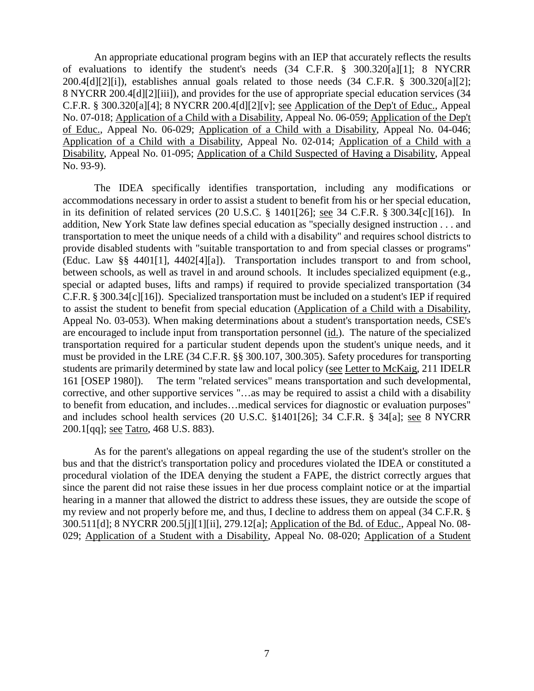An appropriate educational program begins with an IEP that accurately reflects the results of evaluations to identify the student's needs (34 C.F.R. § 300.320[a][1]; 8 NYCRR 200.4[d][2][i]), establishes annual goals related to those needs (34 C.F.R. § 300.320[a][2]; 8 NYCRR 200.4[d][2][iii]), and provides for the use of appropriate special education services (34 C.F.R. § 300.320[a][4]; 8 NYCRR 200.4[d][2][v]; see Application of the Dep't of Educ., Appeal No. 07-018; Application of a Child with a Disability, Appeal No. 06-059; Application of the Dep't of Educ., Appeal No. 06-029; Application of a Child with a Disability, Appeal No. 04-046; Application of a Child with a Disability, Appeal No. 02-014; Application of a Child with a Disability, Appeal No. 01-095; Application of a Child Suspected of Having a Disability, Appeal No. 93-9).

The IDEA specifically identifies transportation, including any modifications or accommodations necessary in order to assist a student to benefit from his or her special education, in its definition of related services (20 U.S.C. § 1401[26]; see 34 C.F.R. § 300.34[c][16]). In addition, New York State law defines special education as "specially designed instruction . . . and transportation to meet the unique needs of a child with a disability" and requires school districts to provide disabled students with "suitable transportation to and from special classes or programs" (Educ. Law §§ 4401[1], 4402[4][a]). Transportation includes transport to and from school, between schools, as well as travel in and around schools. It includes specialized equipment (e.g., special or adapted buses, lifts and ramps) if required to provide specialized transportation (34 C.F.R. § 300.34[c][16]). Specialized transportation must be included on a student's IEP if required to assist the student to benefit from special education (Application of a Child with a Disability, Appeal No. 03-053). When making determinations about a student's transportation needs, CSE's are encouraged to include input from transportation personnel (id.). The nature of the specialized transportation required for a particular student depends upon the student's unique needs, and it must be provided in the LRE (34 C.F.R. §§ 300.107, 300.305). Safety procedures for transporting students are primarily determined by state law and local policy (see Letter to McKaig, 211 IDELR 161 [OSEP 1980]). The term "related services" means transportation and such developmental, corrective, and other supportive services "…as may be required to assist a child with a disability to benefit from education, and includes…medical services for diagnostic or evaluation purposes" and includes school health services (20 U.S.C. §1401[26]; 34 C.F.R. § 34[a]; see 8 NYCRR 200.1[qq]; see Tatro, 468 U.S. 883).

As for the parent's allegations on appeal regarding the use of the student's stroller on the bus and that the district's transportation policy and procedures violated the IDEA or constituted a procedural violation of the IDEA denying the student a FAPE, the district correctly argues that since the parent did not raise these issues in her due process complaint notice or at the impartial hearing in a manner that allowed the district to address these issues, they are outside the scope of my review and not properly before me, and thus, I decline to address them on appeal (34 C.F.R. § 300.511[d]; 8 NYCRR 200.5[j][1][ii], 279.12[a]; Application of the Bd. of Educ., Appeal No. 08- 029; Application of a Student with a Disability, Appeal No. 08-020; Application of a Student